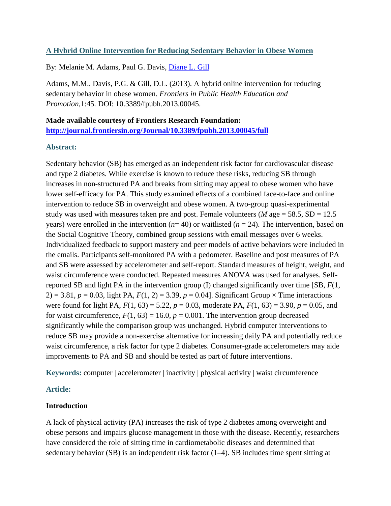# **A Hybrid Online Intervention for Reducing Sedentary Behavior in Obese Women**

By: Melanie M. Adams, Paul G. Davis, [Diane L. Gill](https://libres.uncg.edu/ir/uncg/clist.aspx?id=1410)

Adams, M.M., Davis, P.G. & Gill, D.L. (2013). A hybrid online intervention for reducing sedentary behavior in obese women. *Frontiers in Public Health Education and Promotion,*1:45*.* DOI: 10.3389/fpubh.2013.00045.

**Made available courtesy of Frontiers Research Foundation: <http://journal.frontiersin.org/Journal/10.3389/fpubh.2013.00045/full>**

# **Abstract:**

Sedentary behavior (SB) has emerged as an independent risk factor for cardiovascular disease and type 2 diabetes. While exercise is known to reduce these risks, reducing SB through increases in non-structured PA and breaks from sitting may appeal to obese women who have lower self-efficacy for PA. This study examined effects of a combined face-to-face and online intervention to reduce SB in overweight and obese women. A two-group quasi-experimental study was used with measures taken pre and post. Female volunteers ( $M$  age = 58.5, SD = 12.5 years) were enrolled in the intervention  $(n=40)$  or waitlisted  $(n=24)$ . The intervention, based on the Social Cognitive Theory, combined group sessions with email messages over 6 weeks. Individualized feedback to support mastery and peer models of active behaviors were included in the emails. Participants self-monitored PA with a pedometer. Baseline and post measures of PA and SB were assessed by accelerometer and self-report. Standard measures of height, weight, and waist circumference were conducted. Repeated measures ANOVA was used for analyses. Selfreported SB and light PA in the intervention group (I) changed significantly over time [SB, *F*(1,  $2) = 3.81$ ,  $p = 0.03$ , light PA,  $F(1, 2) = 3.39$ ,  $p = 0.04$ . Significant Group  $\times$  Time interactions were found for light PA, *F*(1, 63) = 5.22, *p* = 0.03, moderate PA, *F*(1, 63) = 3.90, *p* = 0.05, and for waist circumference,  $F(1, 63) = 16.0$ ,  $p = 0.001$ . The intervention group decreased significantly while the comparison group was unchanged. Hybrid computer interventions to reduce SB may provide a non-exercise alternative for increasing daily PA and potentially reduce waist circumference, a risk factor for type 2 diabetes. Consumer-grade accelerometers may aide improvements to PA and SB and should be tested as part of future interventions.

**Keywords:** computer | accelerometer | inactivity | physical activity | waist circumference

# **Article:**

# **Introduction**

A lack of physical activity (PA) increases the risk of type 2 diabetes among overweight and obese persons and impairs glucose management in those with the disease. Recently, researchers have considered the role of sitting time in cardiometabolic diseases and determined that sedentary behavior (SB) is an independent risk factor (1–4). SB includes time spent sitting at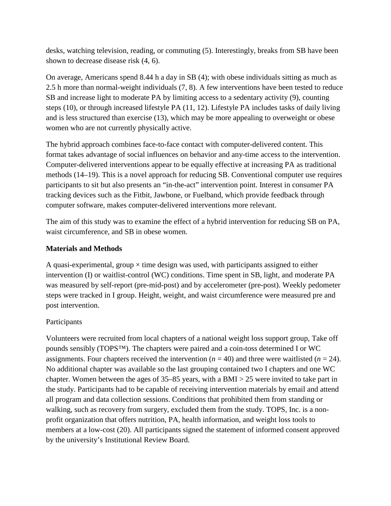desks, watching television, reading, or commuting (5). Interestingly, breaks from SB have been shown to decrease disease risk (4, 6).

On average, Americans spend 8.44 h a day in SB (4); with obese individuals sitting as much as 2.5 h more than normal-weight individuals (7, 8). A few interventions have been tested to reduce SB and increase light to moderate PA by limiting access to a sedentary activity (9), counting steps (10), or through increased lifestyle PA (11, 12). Lifestyle PA includes tasks of daily living and is less structured than exercise (13), which may be more appealing to overweight or obese women who are not currently physically active.

The hybrid approach combines face-to-face contact with computer-delivered content. This format takes advantage of social influences on behavior and any-time access to the intervention. Computer-delivered interventions appear to be equally effective at increasing PA as traditional methods (14–19). This is a novel approach for reducing SB. Conventional computer use requires participants to sit but also presents an "in-the-act" intervention point. Interest in consumer PA tracking devices such as the Fitbit, Jawbone, or Fuelband, which provide feedback through computer software, makes computer-delivered interventions more relevant.

The aim of this study was to examine the effect of a hybrid intervention for reducing SB on PA, waist circumference, and SB in obese women.

# **Materials and Methods**

A quasi-experimental, group  $\times$  time design was used, with participants assigned to either intervention (I) or waitlist-control (WC) conditions. Time spent in SB, light, and moderate PA was measured by self-report (pre-mid-post) and by accelerometer (pre-post). Weekly pedometer steps were tracked in I group. Height, weight, and waist circumference were measured pre and post intervention.

# Participants

Volunteers were recruited from local chapters of a national weight loss support group, Take off pounds sensibly (TOPS™). The chapters were paired and a coin-toss determined I or WC assignments. Four chapters received the intervention  $(n = 40)$  and three were waitlisted  $(n = 24)$ . No additional chapter was available so the last grouping contained two I chapters and one WC chapter. Women between the ages of  $35-85$  years, with a BMI  $> 25$  were invited to take part in the study. Participants had to be capable of receiving intervention materials by email and attend all program and data collection sessions. Conditions that prohibited them from standing or walking, such as recovery from surgery, excluded them from the study. TOPS, Inc. is a nonprofit organization that offers nutrition, PA, health information, and weight loss tools to members at a low-cost (20). All participants signed the statement of informed consent approved by the university's Institutional Review Board.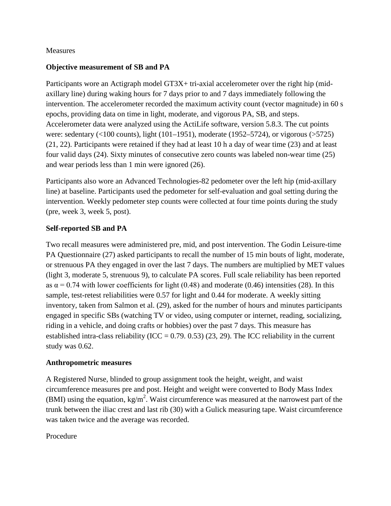## Measures

# **Objective measurement of SB and PA**

Participants wore an Actigraph model GT3X+ tri-axial accelerometer over the right hip (midaxillary line) during waking hours for 7 days prior to and 7 days immediately following the intervention. The accelerometer recorded the maximum activity count (vector magnitude) in 60 s epochs, providing data on time in light, moderate, and vigorous PA, SB, and steps. Accelerometer data were analyzed using the ActiLife software, version 5.8.3. The cut points were: sedentary (<100 counts), light (101–1951), moderate (1952–5724), or vigorous (>5725) (21, 22). Participants were retained if they had at least 10 h a day of wear time (23) and at least four valid days (24). Sixty minutes of consecutive zero counts was labeled non-wear time (25) and wear periods less than 1 min were ignored (26).

Participants also wore an Advanced Technologies-82 pedometer over the left hip (mid-axillary line) at baseline. Participants used the pedometer for self-evaluation and goal setting during the intervention. Weekly pedometer step counts were collected at four time points during the study (pre, week 3, week 5, post).

# **Self-reported SB and PA**

Two recall measures were administered pre, mid, and post intervention. The Godin Leisure-time PA Questionnaire (27) asked participants to recall the number of 15 min bouts of light, moderate, or strenuous PA they engaged in over the last 7 days. The numbers are multiplied by MET values (light 3, moderate 5, strenuous 9), to calculate PA scores. Full scale reliability has been reported as  $\alpha$  = 0.74 with lower coefficients for light (0.48) and moderate (0.46) intensities (28). In this sample, test-retest reliabilities were 0.57 for light and 0.44 for moderate. A weekly sitting inventory, taken from Salmon et al. (29), asked for the number of hours and minutes participants engaged in specific SBs (watching TV or video, using computer or internet, reading, socializing, riding in a vehicle, and doing crafts or hobbies) over the past 7 days. This measure has established intra-class reliability (ICC =  $0.79$ .  $0.53$ ) (23, 29). The ICC reliability in the current study was 0.62.

## **Anthropometric measures**

A Registered Nurse, blinded to group assignment took the height, weight, and waist circumference measures pre and post. Height and weight were converted to Body Mass Index (BMI) using the equation,  $kg/m^2$ . Waist circumference was measured at the narrowest part of the trunk between the iliac crest and last rib (30) with a Gulick measuring tape. Waist circumference was taken twice and the average was recorded.

## Procedure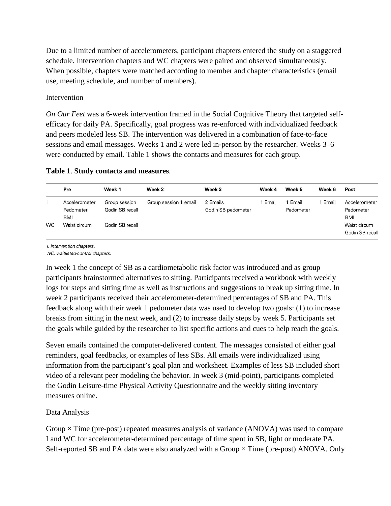Due to a limited number of accelerometers, participant chapters entered the study on a staggered schedule. Intervention chapters and WC chapters were paired and observed simultaneously. When possible, chapters were matched according to member and chapter characteristics (email use, meeting schedule, and number of members).

# Intervention

*On Our Feet* was a 6-week intervention framed in the Social Cognitive Theory that targeted selfefficacy for daily PA. Specifically, goal progress was re-enforced with individualized feedback and peers modeled less SB. The intervention was delivered in a combination of face-to-face sessions and email messages. Weeks 1 and 2 were led in-person by the researcher. Weeks 3–6 were conducted by email. Table 1 shows the contacts and measures for each group.

## **Table 1**. **Study contacts and measures**.

|           | Pre                                                      | Week 1                                              | Week 2                | Week 3                         | Week 4 | Week 5             | Week 6 | Post                                                                 |
|-----------|----------------------------------------------------------|-----------------------------------------------------|-----------------------|--------------------------------|--------|--------------------|--------|----------------------------------------------------------------------|
| <b>WC</b> | Accelerometer<br>Pedometer<br><b>BMI</b><br>Waist circum | Group session<br>Godin SB recall<br>Godin SB recall | Group session 1 email | 2 Emails<br>Godin SB pedometer | Email  | Email<br>Pedometer | Email  | Accelerometer<br>Pedometer<br>BMI<br>Waist circum<br>Godin SB recall |

I, intervention chapters.

WC, waitlisted-control chapters.

In week 1 the concept of SB as a cardiometabolic risk factor was introduced and as group participants brainstormed alternatives to sitting. Participants received a workbook with weekly logs for steps and sitting time as well as instructions and suggestions to break up sitting time. In week 2 participants received their accelerometer-determined percentages of SB and PA. This feedback along with their week 1 pedometer data was used to develop two goals: (1) to increase breaks from sitting in the next week, and (2) to increase daily steps by week 5. Participants set the goals while guided by the researcher to list specific actions and cues to help reach the goals.

Seven emails contained the computer-delivered content. The messages consisted of either goal reminders, goal feedbacks, or examples of less SBs. All emails were individualized using information from the participant's goal plan and worksheet. Examples of less SB included short video of a relevant peer modeling the behavior. In week 3 (mid-point), participants completed the Godin Leisure-time Physical Activity Questionnaire and the weekly sitting inventory measures online.

# Data Analysis

Group  $\times$  Time (pre-post) repeated measures analysis of variance (ANOVA) was used to compare I and WC for accelerometer-determined percentage of time spent in SB, light or moderate PA. Self-reported SB and PA data were also analyzed with a Group  $\times$  Time (pre-post) ANOVA. Only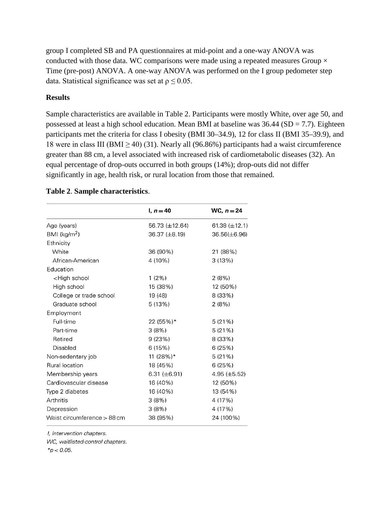group I completed SB and PA questionnaires at mid-point and a one-way ANOVA was conducted with those data. WC comparisons were made using a repeated measures Group  $\times$ Time (pre-post) ANOVA. A one-way ANOVA was performed on the I group pedometer step data. Statistical significance was set at  $\rho \leq 0.05$ .

### **Results**

Sample characteristics are available in Table 2. Participants were mostly White, over age 50, and possessed at least a high school education. Mean BMI at baseline was  $36.44$  (SD = 7.7). Eighteen participants met the criteria for class I obesity (BMI 30–34.9), 12 for class II (BMI 35–39.9), and 18 were in class III (BMI  $\geq$  40) (31). Nearly all (96.86%) participants had a waist circumference greater than 88 cm, a level associated with increased risk of cardiometabolic diseases (32). An equal percentage of drop-outs occurred in both groups (14%); drop-outs did not differ significantly in age, health risk, or rural location from those that remained.

#### $l, n = 40$ WC,  $n = 24$ Age (years) 56.73 (±12.64) 61.38 ( $\pm$ 12.1) BMI ( $kg/m<sup>2</sup>$ ) 36.37 (±8.19) 36.56(±6.96) Ethnicity White 36 (90%) 21 (88%) African-American 4 (10%)  $3(13%)$ **Education** <High school  $1(2\%)$  $2(8%)$ High school 15 (38%) 12 (50%) College or trade school 19 (48) 8 (33%) Graduate school  $5(13%)$  $2(8%)$ Employment Full-time 22 (55%)\*  $5(21%)$ Part-time  $3(8%)$  $5(21%)$ Retired  $9(23%)$ 8 (33%) Disabled  $6(15%)$ 6 (25%) Non-sedentary job 11 (28%)\*  $5(21%)$ Rural location 18 (45%) 6 (25%) Membership years 6.31  $(\pm 6.91)$ 4.95 (±5.52) Cardiovascular disease 16 (40%) 12 (50%) Type 2 diabetes 16 (40%) 13 (54%) Arthritis  $3(8%)$ 4 (17%) Depression  $3(8%)$ 4 (17%) 24 (100%) Waist circumference > 88 cm 38 (95%)

## **Table 2**. **Sample characteristics**.

I, intervention chapters.

WC, waitlisted-control chapters.

 $*_{D} < 0.05$ .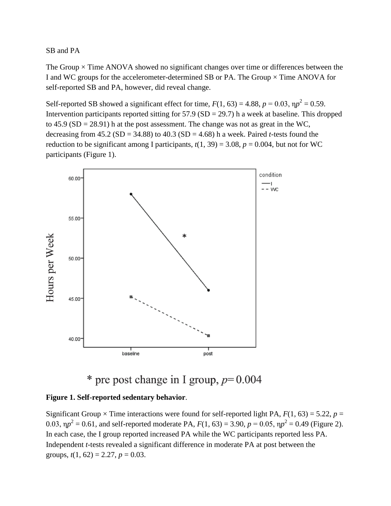# SB and PA

The Group  $\times$  Time ANOVA showed no significant changes over time or differences between the I and WC groups for the accelerometer-determined SB or PA. The Group  $\times$  Time ANOVA for self-reported SB and PA, however, did reveal change.

Self-reported SB showed a significant effect for time,  $F(1, 63) = 4.88$ ,  $p = 0.03$ ,  $np^2 = 0.59$ . Intervention participants reported sitting for  $57.9$  (SD = 29.7) h a week at baseline. This dropped to  $45.9$  (SD = 28.91) h at the post assessment. The change was not as great in the WC, decreasing from  $45.2$  (SD =  $34.88$ ) to  $40.3$  (SD =  $4.68$ ) h a week. Paired *t*-tests found the reduction to be significant among I participants,  $t(1, 39) = 3.08$ ,  $p = 0.004$ , but not for WC participants (Figure 1).



# \* pre post change in I group,  $p=0.004$

## **Figure 1. Self-reported sedentary behavior**.

Significant Group  $\times$  Time interactions were found for self-reported light PA,  $F(1, 63) = 5.22$ ,  $p =$ 0.03,  $\eta p^2 = 0.61$ , and self-reported moderate PA,  $F(1, 63) = 3.90$ ,  $p = 0.05$ ,  $\eta p^2 = 0.49$  (Figure 2). In each case, the I group reported increased PA while the WC participants reported less PA. Independent *t*-tests revealed a significant difference in moderate PA at post between the groups,  $t(1, 62) = 2.27$ ,  $p = 0.03$ .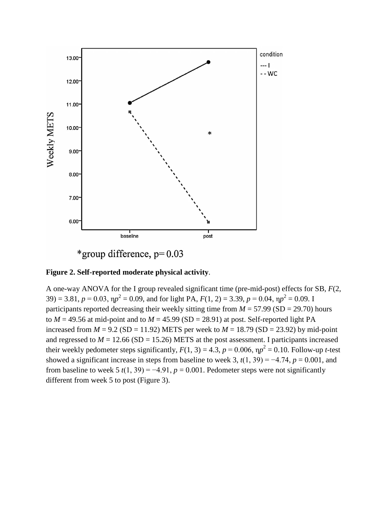



A one-way ANOVA for the I group revealed significant time (pre-mid-post) effects for SB, *F*(2, 39) = 3.81,  $p = 0.03$ ,  $\eta p^2 = 0.09$ , and for light PA,  $F(1, 2) = 3.39$ ,  $p = 0.04$ ,  $\eta p^2 = 0.09$ . I participants reported decreasing their weekly sitting time from  $M = 57.99$  (SD = 29.70) hours to  $M = 49.56$  at mid-point and to  $M = 45.99$  (SD = 28.91) at post. Self-reported light PA increased from  $M = 9.2$  (SD = 11.92) METS per week to  $M = 18.79$  (SD = 23.92) by mid-point and regressed to  $M = 12.66$  (SD = 15.26) METS at the post assessment. I participants increased their weekly pedometer steps significantly,  $F(1, 3) = 4.3$ ,  $p = 0.006$ ,  $\eta p^2 = 0.10$ . Follow-up *t*-test showed a significant increase in steps from baseline to week 3,  $t(1, 39) = -4.74$ ,  $p = 0.001$ , and from baseline to week  $5 t(1, 39) = -4.91$ ,  $p = 0.001$ . Pedometer steps were not significantly different from week 5 to post (Figure 3).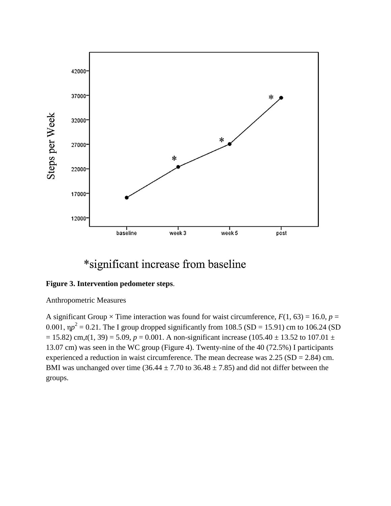

# \*significant increase from baseline

## **Figure 3. Intervention pedometer steps**.

Anthropometric Measures

A significant Group  $\times$  Time interaction was found for waist circumference,  $F(1, 63) = 16.0$ ,  $p =$ 0.001,  $\eta p^2 = 0.21$ . The I group dropped significantly from 108.5 (SD = 15.91) cm to 106.24 (SD  $= 15.82$ ) cm, $t(1, 39) = 5.09$ ,  $p = 0.001$ . A non-significant increase (105.40  $\pm$  13.52 to 107.01  $\pm$ 13.07 cm) was seen in the WC group (Figure 4). Twenty-nine of the 40 (72.5%) I participants experienced a reduction in waist circumference. The mean decrease was  $2.25$  (SD = 2.84) cm. BMI was unchanged over time (36.44  $\pm$  7.70 to 36.48  $\pm$  7.85) and did not differ between the groups.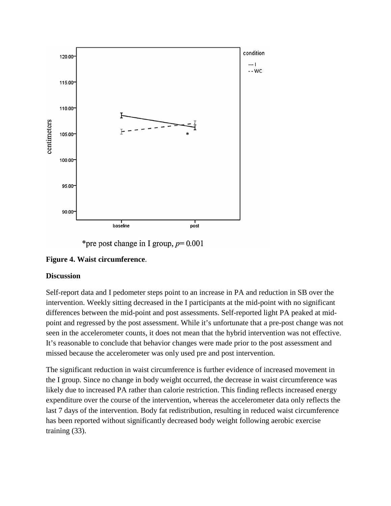

\*pre post change in I group,  $p=0.001$ 

# **Figure 4. Waist circumference**.

## **Discussion**

Self-report data and I pedometer steps point to an increase in PA and reduction in SB over the intervention. Weekly sitting decreased in the I participants at the mid-point with no significant differences between the mid-point and post assessments. Self-reported light PA peaked at midpoint and regressed by the post assessment. While it's unfortunate that a pre-post change was not seen in the accelerometer counts, it does not mean that the hybrid intervention was not effective. It's reasonable to conclude that behavior changes were made prior to the post assessment and missed because the accelerometer was only used pre and post intervention.

The significant reduction in waist circumference is further evidence of increased movement in the I group. Since no change in body weight occurred, the decrease in waist circumference was likely due to increased PA rather than calorie restriction. This finding reflects increased energy expenditure over the course of the intervention, whereas the accelerometer data only reflects the last 7 days of the intervention. Body fat redistribution, resulting in reduced waist circumference has been reported without significantly decreased body weight following aerobic exercise training (33).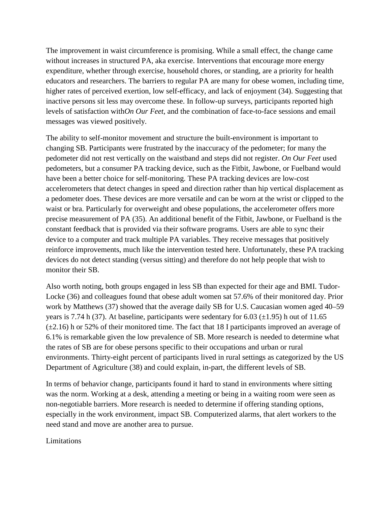The improvement in waist circumference is promising. While a small effect, the change came without increases in structured PA, aka exercise. Interventions that encourage more energy expenditure, whether through exercise, household chores, or standing, are a priority for health educators and researchers. The barriers to regular PA are many for obese women, including time, higher rates of perceived exertion, low self-efficacy, and lack of enjoyment (34). Suggesting that inactive persons sit less may overcome these. In follow-up surveys, participants reported high levels of satisfaction with*On Our Feet*, and the combination of face-to-face sessions and email messages was viewed positively.

The ability to self-monitor movement and structure the built-environment is important to changing SB. Participants were frustrated by the inaccuracy of the pedometer; for many the pedometer did not rest vertically on the waistband and steps did not register. *On Our Feet* used pedometers, but a consumer PA tracking device, such as the Fitbit, Jawbone, or Fuelband would have been a better choice for self-monitoring. These PA tracking devices are low-cost accelerometers that detect changes in speed and direction rather than hip vertical displacement as a pedometer does. These devices are more versatile and can be worn at the wrist or clipped to the waist or bra. Particularly for overweight and obese populations, the accelerometer offers more precise measurement of PA (35). An additional benefit of the Fitbit, Jawbone, or Fuelband is the constant feedback that is provided via their software programs. Users are able to sync their device to a computer and track multiple PA variables. They receive messages that positively reinforce improvements, much like the intervention tested here. Unfortunately, these PA tracking devices do not detect standing (versus sitting) and therefore do not help people that wish to monitor their SB.

Also worth noting, both groups engaged in less SB than expected for their age and BMI. Tudor-Locke (36) and colleagues found that obese adult women sat 57.6% of their monitored day. Prior work by Matthews (37) showed that the average daily SB for U.S. Caucasian women aged 40–59 years is 7.74 h (37). At baseline, participants were sedentary for 6.03 ( $\pm$ 1.95) h out of 11.65  $(\pm 2.16)$  h or 52% of their monitored time. The fact that 18 I participants improved an average of 6.1% is remarkable given the low prevalence of SB. More research is needed to determine what the rates of SB are for obese persons specific to their occupations and urban or rural environments. Thirty-eight percent of participants lived in rural settings as categorized by the US Department of Agriculture (38) and could explain, in-part, the different levels of SB.

In terms of behavior change, participants found it hard to stand in environments where sitting was the norm. Working at a desk, attending a meeting or being in a waiting room were seen as non-negotiable barriers. More research is needed to determine if offering standing options, especially in the work environment, impact SB. Computerized alarms, that alert workers to the need stand and move are another area to pursue.

## Limitations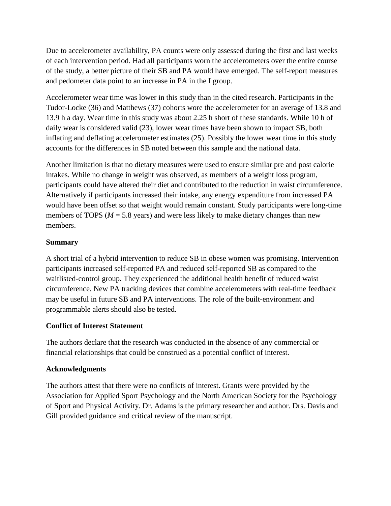Due to accelerometer availability, PA counts were only assessed during the first and last weeks of each intervention period. Had all participants worn the accelerometers over the entire course of the study, a better picture of their SB and PA would have emerged. The self-report measures and pedometer data point to an increase in PA in the I group.

Accelerometer wear time was lower in this study than in the cited research. Participants in the Tudor-Locke (36) and Matthews (37) cohorts wore the accelerometer for an average of 13.8 and 13.9 h a day. Wear time in this study was about 2.25 h short of these standards. While 10 h of daily wear is considered valid (23), lower wear times have been shown to impact SB, both inflating and deflating accelerometer estimates (25). Possibly the lower wear time in this study accounts for the differences in SB noted between this sample and the national data.

Another limitation is that no dietary measures were used to ensure similar pre and post calorie intakes. While no change in weight was observed, as members of a weight loss program, participants could have altered their diet and contributed to the reduction in waist circumference. Alternatively if participants increased their intake, any energy expenditure from increased PA would have been offset so that weight would remain constant. Study participants were long-time members of TOPS ( $M = 5.8$  years) and were less likely to make dietary changes than new members.

# **Summary**

A short trial of a hybrid intervention to reduce SB in obese women was promising. Intervention participants increased self-reported PA and reduced self-reported SB as compared to the waitlisted-control group. They experienced the additional health benefit of reduced waist circumference. New PA tracking devices that combine accelerometers with real-time feedback may be useful in future SB and PA interventions. The role of the built-environment and programmable alerts should also be tested.

# **Conflict of Interest Statement**

The authors declare that the research was conducted in the absence of any commercial or financial relationships that could be construed as a potential conflict of interest.

# **Acknowledgments**

The authors attest that there were no conflicts of interest. Grants were provided by the Association for Applied Sport Psychology and the North American Society for the Psychology of Sport and Physical Activity. Dr. Adams is the primary researcher and author. Drs. Davis and Gill provided guidance and critical review of the manuscript.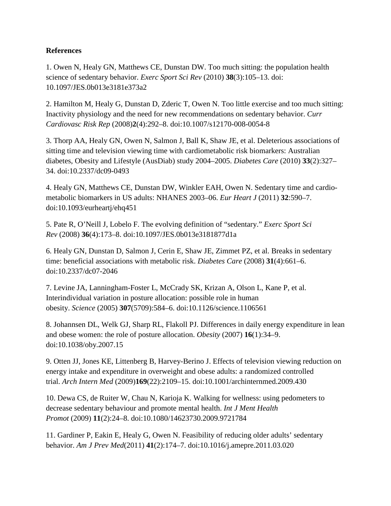# **References**

1. Owen N, Healy GN, Matthews CE, Dunstan DW. Too much sitting: the population health science of sedentary behavior. *Exerc Sport Sci Rev* (2010) **38**(3):105–13. doi: 10.1097/JES.0b013e3181e373a2

2. Hamilton M, Healy G, Dunstan D, Zderic T, Owen N. Too little exercise and too much sitting: Inactivity physiology and the need for new recommendations on sedentary behavior. *Curr Cardiovasc Risk Rep* (2008)**2**(4):292–8. doi:10.1007/s12170-008-0054-8

3. Thorp AA, Healy GN, Owen N, Salmon J, Ball K, Shaw JE, et al. Deleterious associations of sitting time and television viewing time with cardiometabolic risk biomarkers: Australian diabetes, Obesity and Lifestyle (AusDiab) study 2004–2005. *Diabetes Care* (2010) **33**(2):327– 34. doi:10.2337/dc09-0493

4. Healy GN, Matthews CE, Dunstan DW, Winkler EAH, Owen N. Sedentary time and cardiometabolic biomarkers in US adults: NHANES 2003–06. *Eur Heart J* (2011) **32**:590–7. doi:10.1093/eurheartj/ehq451

5. Pate R, O'Neill J, Lobelo F. The evolving definition of "sedentary." *Exerc Sport Sci Rev* (2008) **36**(4):173–8. doi:10.1097/JES.0b013e3181877d1a

6. Healy GN, Dunstan D, Salmon J, Cerin E, Shaw JE, Zimmet PZ, et al. Breaks in sedentary time: beneficial associations with metabolic risk. *Diabetes Care* (2008) **31**(4):661–6. doi:10.2337/dc07-2046

7. Levine JA, Lanningham-Foster L, McCrady SK, Krizan A, Olson L, Kane P, et al. Interindividual variation in posture allocation: possible role in human obesity. *Science* (2005) **307**(5709):584–6. doi:10.1126/science.1106561

8. Johannsen DL, Welk GJ, Sharp RL, Flakoll PJ. Differences in daily energy expenditure in lean and obese women: the role of posture allocation. *Obesity* (2007) **16**(1):34–9. doi:10.1038/oby.2007.15

9. Otten JJ, Jones KE, Littenberg B, Harvey-Berino J. Effects of television viewing reduction on energy intake and expenditure in overweight and obese adults: a randomized controlled trial. *Arch Intern Med* (2009)**169**(22):2109–15. doi:10.1001/archinternmed.2009.430

10. Dewa CS, de Ruiter W, Chau N, Karioja K. Walking for wellness: using pedometers to decrease sedentary behaviour and promote mental health. *Int J Ment Health Promot* (2009) **11**(2):24–8. doi:10.1080/14623730.2009.9721784

11. Gardiner P, Eakin E, Healy G, Owen N. Feasibility of reducing older adults' sedentary behavior. *Am J Prev Med*(2011) **41**(2):174–7. doi:10.1016/j.amepre.2011.03.020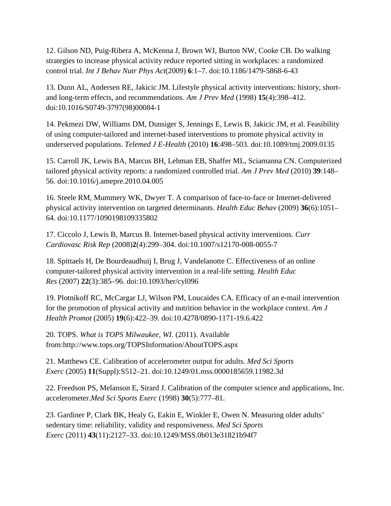12. Gilson ND, Puig-Ribera A, McKenna J, Brown WJ, Burton NW, Cooke CB. Do walking strategies to increase physical activity reduce reported sitting in workplaces: a randomized control trial. *Int J Behav Nutr Phys Act*(2009) **6**:1–7. doi:10.1186/1479-5868-6-43

13. Dunn AL, Andersen RE, Jakicic JM. Lifestyle physical activity interventions: history, shortand long-term effects, and recommendations. *Am J Prev Med* (1998) **15**(4):398–412. doi:10.1016/S0749-3797(98)00084-1

14. Pekmezi DW, Williams DM, Dunsiger S, Jennings E, Lewis B, Jakicic JM, et al. Feasibility of using computer-tailored and internet-based interventions to promote physical activity in underserved populations. *Telemed J E-Health* (2010) **16**:498–503. doi:10.1089/tmj.2009.0135

15. Carroll JK, Lewis BA, Marcus BH, Lehman EB, Shaffer ML, Sciamanna CN. Computerized tailored physical activity reports: a randomized controlled trial. *Am J Prev Med* (2010) **39**:148– 56. doi:10.1016/j.amepre.2010.04.005

16. Steele RM, Mummery WK, Dwyer T. A comparison of face-to-face or Internet-delivered physical activity intervention on targeted determinants. *Health Educ Behav* (2009) **36**(6):1051– 64. doi:10.1177/1090198109335802

17. Ciccolo J, Lewis B, Marcus B. Internet-based physical activity interventions. *Curr Cardiovasc Risk Rep* (2008)**2**(4):299–304. doi:10.1007/s12170-008-0055-7

18. Spittaels H, De Bourdeaudhuij I, Brug J, Vandelanotte C. Effectiveness of an online computer-tailored physical activity intervention in a real-life setting. *Health Educ Res* (2007) **22**(3):385–96. doi:10.1093/her/cyl096

19. Plotnikoff RC, McCargar LJ, Wilson PM, Loucaides CA. Efficacy of an e-mail intervention for the promotion of physical activity and nutrition behavior in the workplace context. *Am J Health Promot* (2005) **19**(6):422–39. doi:10.4278/0890-1171-19.6.422

20. TOPS. *What is TOPS Milwaukee, WI*. (2011). Available from:http://www.tops.org/TOPSInformation/AboutTOPS.aspx

21. Matthews CE. Calibration of accelerometer output for adults. *Med Sci Sports Exerc* (2005) **11**(Suppl):S512–21. doi:10.1249/01.mss.0000185659.11982.3d

22. Freedson PS, Melanson E, Sirard J. Calibration of the computer science and applications, Inc. accelerometer.*Med Sci Sports Exerc* (1998) **30**(5):777–81.

23. Gardiner P, Clark BK, Healy G, Eakin E, Winkler E, Owen N. Measuring older adults' sedentary time: reliability, validity and responsiveness. *Med Sci Sports Exerc* (2011) **43**(11):2127–33. doi:10.1249/MSS.0b013e31821b94f7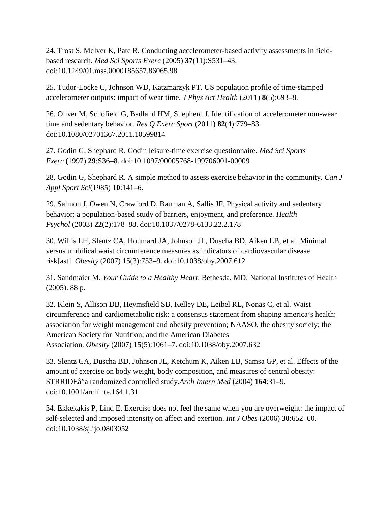24. Trost S, McIver K, Pate R. Conducting accelerometer-based activity assessments in fieldbased research. *Med Sci Sports Exerc* (2005) **37**(11):S531–43. doi:10.1249/01.mss.0000185657.86065.98

25. Tudor-Locke C, Johnson WD, Katzmarzyk PT. US population profile of time-stamped accelerometer outputs: impact of wear time. *J Phys Act Health* (2011) **8**(5):693–8.

26. Oliver M, Schofield G, Badland HM, Shepherd J. Identification of accelerometer non-wear time and sedentary behavior. *Res Q Exerc Sport* (2011) **82**(4):779–83. doi:10.1080/02701367.2011.10599814

27. Godin G, Shephard R. Godin leisure-time exercise questionnaire. *Med Sci Sports Exerc* (1997) **29**:S36–8. doi:10.1097/00005768-199706001-00009

28. Godin G, Shephard R. A simple method to assess exercise behavior in the community. *Can J Appl Sport Sci*(1985) **10**:141–6.

29. Salmon J, Owen N, Crawford D, Bauman A, Sallis JF. Physical activity and sedentary behavior: a population-based study of barriers, enjoyment, and preference. *Health Psychol* (2003) **22**(2):178–88. doi:10.1037/0278-6133.22.2.178

30. Willis LH, Slentz CA, Houmard JA, Johnson JL, Duscha BD, Aiken LB, et al. Minimal versus umbilical waist circumference measures as indicators of cardiovascular disease risk[ast]. *Obesity* (2007) **15**(3):753–9. doi:10.1038/oby.2007.612

31. Sandmaier M. *Your Guide to a Healthy Heart*. Bethesda, MD: National Institutes of Health (2005). 88 p.

32. Klein S, Allison DB, Heymsfield SB, Kelley DE, Leibel RL, Nonas C, et al. Waist circumference and cardiometabolic risk: a consensus statement from shaping america's health: association for weight management and obesity prevention; NAASO, the obesity society; the American Society for Nutrition; and the American Diabetes Association. *Obesity* (2007) **15**(5):1061–7. doi:10.1038/oby.2007.632

33. Slentz CA, Duscha BD, Johnson JL, Ketchum K, Aiken LB, Samsa GP, et al. Effects of the amount of exercise on body weight, body composition, and measures of central obesity: STRRIDEâ"a randomized controlled study.*Arch Intern Med* (2004) **164**:31–9. doi:10.1001/archinte.164.1.31

34. Ekkekakis P, Lind E. Exercise does not feel the same when you are overweight: the impact of self-selected and imposed intensity on affect and exertion. *Int J Obes* (2006) **30**:652–60. doi:10.1038/sj.ijo.0803052